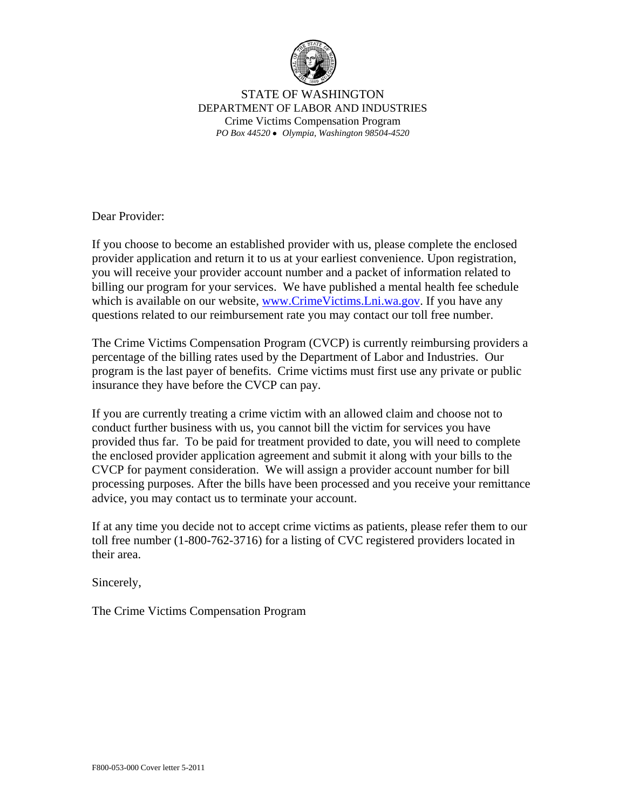

STATE OF WASHINGTON DEPARTMENT OF LABOR AND INDUSTRIES Crime Victims Compensation Program *PO Box 44520* •*Olympia, Washington 98504-4520* 

Dear Provider:

If you choose to become an established provider with us, please complete the enclosed provider application and return it to us at your earliest convenience. Upon registration, you will receive your provider account number and a packet of information related to billing our program for your services. We have published a mental health fee schedule which is available on our website, [www.CrimeVictims.Lni.wa.gov.](http://www.LNI.wa.gov/CrimeVictims) If you have any questions related to our reimbursement rate you may contact our toll free number.

The Crime Victims Compensation Program (CVCP) is currently reimbursing providers a percentage of the billing rates used by the Department of Labor and Industries. Our program is the last payer of benefits. Crime victims must first use any private or public insurance they have before the CVCP can pay.

If you are currently treating a crime victim with an allowed claim and choose not to conduct further business with us, you cannot bill the victim for services you have provided thus far. To be paid for treatment provided to date, you will need to complete the enclosed provider application agreement and submit it along with your bills to the CVCP for payment consideration. We will assign a provider account number for bill processing purposes. After the bills have been processed and you receive your remittance advice, you may contact us to terminate your account.

If at any time you decide not to accept crime victims as patients, please refer them to our toll free number (1-800-762-3716) for a listing of CVC registered providers located in their area.

Sincerely,

The Crime Victims Compensation Program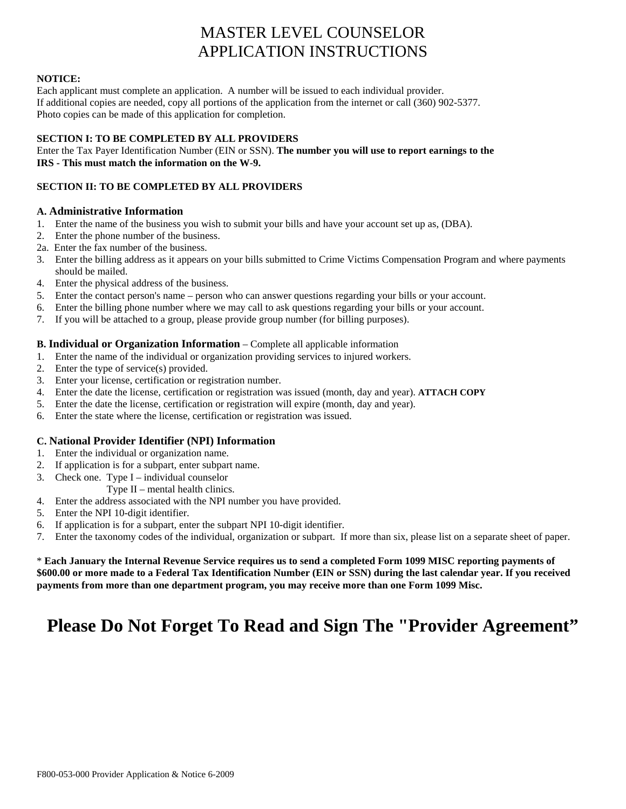# MASTER LEVEL COUNSELOR APPLICATION INSTRUCTIONS

### **NOTICE:**

Each applicant must complete an application. A number will be issued to each individual provider. If additional copies are needed, copy all portions of the application from the internet or call (360) 902-5377. Photo copies can be made of this application for completion.

# **SECTION I: TO BE COMPLETED BY ALL PROVIDERS**

Enter the Tax Payer Identification Number (EIN or SSN). **The number you will use to report earnings to the IRS - This must match the information on the W-9.** 

# **SECTION II: TO BE COMPLETED BY ALL PROVIDERS**

# **A. Administrative Information**

- 1. Enter the name of the business you wish to submit your bills and have your account set up as, (DBA).
- 2. Enter the phone number of the business.
- 2a. Enter the fax number of the business.
- 3. Enter the billing address as it appears on your bills submitted to Crime Victims Compensation Program and where payments should be mailed.
- 4. Enter the physical address of the business.
- 5. Enter the contact person's name person who can answer questions regarding your bills or your account.
- 6. Enter the billing phone number where we may call to ask questions regarding your bills or your account.
- 7. If you will be attached to a group, please provide group number (for billing purposes).

# **B. Individual or Organization Information** – Complete all applicable information

- 1. Enter the name of the individual or organization providing services to injured workers.
- 2. Enter the type of service(s) provided.
- 3. Enter your license, certification or registration number.
- 4. Enter the date the license, certification or registration was issued (month, day and year). **ATTACH COPY**
- 5. Enter the date the license, certification or registration will expire (month, day and year).
- 6. Enter the state where the license, certification or registration was issued.

# **C. National Provider Identifier (NPI) Information**

- 1. Enter the individual or organization name.
- 2. If application is for a subpart, enter subpart name.
- 3. Check one. Type I individual counselor
	- Type II mental health clinics.
- 4. Enter the address associated with the NPI number you have provided.
- 5. Enter the NPI 10-digit identifier.
- 6. If application is for a subpart, enter the subpart NPI 10-digit identifier.
- 7. Enter the taxonomy codes of the individual, organization or subpart. If more than six, please list on a separate sheet of paper.

\* **Each January the Internal Revenue Service requires us to send a completed Form 1099 MISC reporting payments of \$600.00 or more made to a Federal Tax Identification Number (EIN or SSN) during the last calendar year. If you received payments from more than one department program, you may receive more than one Form 1099 Misc.** 

# **Please Do Not Forget To Read and Sign The "Provider Agreement"**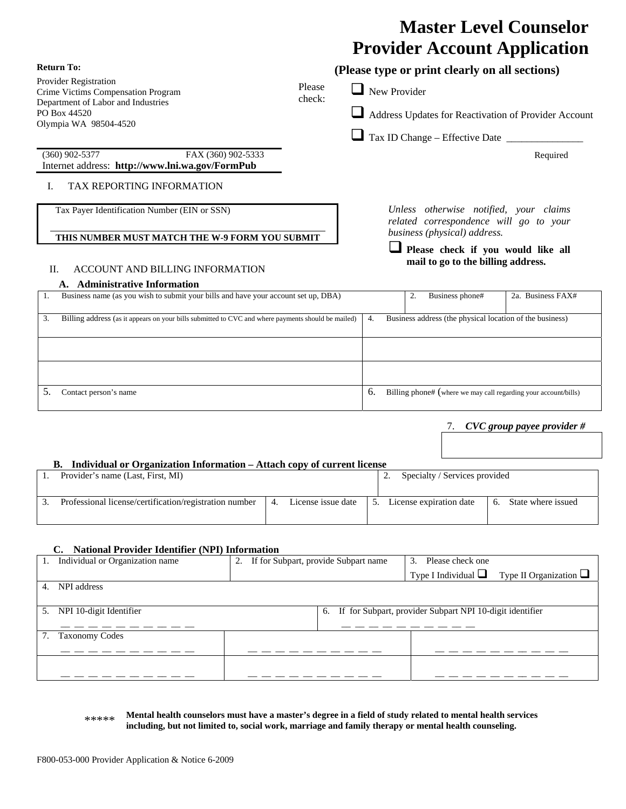# **Master Level Counselor Provider Account Application**

| <b>Return To:</b>                                                                                        |                  |    | (Please type or print clearly on all sections)                                                                   |                   |
|----------------------------------------------------------------------------------------------------------|------------------|----|------------------------------------------------------------------------------------------------------------------|-------------------|
| Provider Registration<br>Crime Victims Compensation Program<br>Department of Labor and Industries        | Please<br>check: |    | New Provider                                                                                                     |                   |
| PO Box 44520<br>Olympia WA 98504-4520                                                                    |                  |    | Address Updates for Reactivation of Provider Account                                                             |                   |
|                                                                                                          |                  |    |                                                                                                                  |                   |
| FAX (360) 902-5333<br>$(360)$ 902-5377<br>Internet address: http://www.lni.wa.gov/FormPub                |                  |    |                                                                                                                  | Required          |
| TAX REPORTING INFORMATION<br>Ι.                                                                          |                  |    |                                                                                                                  |                   |
| Tax Payer Identification Number (EIN or SSN)<br>THIS NUMBER MUST MATCH THE W-9 FORM YOU SUBMIT           |                  |    | Unless otherwise notified, your claims<br>related correspondence will go to your<br>business (physical) address. |                   |
| Π.<br>ACCOUNT AND BILLING INFORMATION                                                                    |                  |    | Please check if you would like all<br>mail to go to the billing address.                                         |                   |
| A. Administrative Information                                                                            |                  |    |                                                                                                                  |                   |
| Business name (as you wish to submit your bills and have your account set up, DBA)<br>1.                 |                  |    | 2.<br>Business phone#                                                                                            | 2a. Business FAX# |
| Billing address (as it appears on your bills submitted to CVC and where payments should be mailed)<br>3. |                  | 4. | Business address (the physical location of the business)                                                         |                   |
|                                                                                                          |                  |    |                                                                                                                  |                   |

5. Contact person's name **6.** Billing phone# (where we may call regarding your account/bills)

### 7. *CVC group payee provider #*

### **B. Individual or Organization Information – Attach copy of current license**

| Provider's name (Last, First, MI)                      |                    | Specialty / Services provided |                    |
|--------------------------------------------------------|--------------------|-------------------------------|--------------------|
| Professional license/certification/registration number | License issue date | License expiration date       | State where issued |

#### **C. National Provider Identifier (NPI) Information**

|    | Individual or Organization name | 2. | If for Subpart, provide Subpart name | Please check one<br>3.                                   |                                                      |
|----|---------------------------------|----|--------------------------------------|----------------------------------------------------------|------------------------------------------------------|
|    |                                 |    |                                      |                                                          | Type I Individual $\Box$ Type II Organization $\Box$ |
| 4. | NPI address                     |    |                                      |                                                          |                                                      |
|    |                                 |    |                                      |                                                          |                                                      |
| 5. | NPI 10-digit Identifier         |    | 6.                                   | If for Subpart, provider Subpart NPI 10-digit identifier |                                                      |
|    |                                 |    |                                      |                                                          |                                                      |
|    | <b>Taxonomy Codes</b>           |    |                                      |                                                          |                                                      |
|    |                                 |    |                                      |                                                          |                                                      |
|    |                                 |    |                                      |                                                          |                                                      |
|    |                                 |    |                                      |                                                          |                                                      |
|    |                                 |    |                                      |                                                          |                                                      |

| ***** | Mental health counselors must have a master's degree in a field of study related to mental health services |
|-------|------------------------------------------------------------------------------------------------------------|
|       | including, but not limited to, social work, marriage and family therapy or mental health counseling.       |